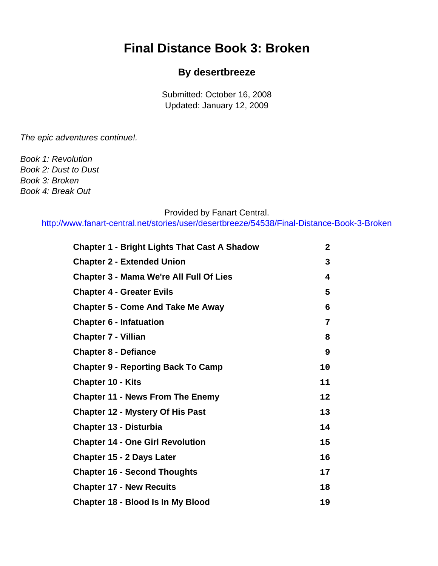# <span id="page-0-0"></span>**Final Distance Book 3: Broken**

#### **By desertbreeze**

Submitted: October 16, 2008 Updated: January 12, 2009

The epic adventures continue!.

Book 1: Revolution Book 2: Dust to Dust Book 3: Broken Book 4: Break Out

#### Provided by Fanart Central.

[http://www.fanart-central.net/stories/user/desertbreeze/54538/Final-Distance-Book-3-Broken](#page-0-0)

| <b>Chapter 1 - Bright Lights That Cast A Shadow</b> | $\mathbf{2}$ |
|-----------------------------------------------------|--------------|
| <b>Chapter 2 - Extended Union</b>                   | 3            |
| <b>Chapter 3 - Mama We're All Full Of Lies</b>      | 4            |
| <b>Chapter 4 - Greater Evils</b>                    | 5            |
| <b>Chapter 5 - Come And Take Me Away</b>            | 6            |
| <b>Chapter 6 - Infatuation</b>                      | 7            |
| <b>Chapter 7 - Villian</b>                          | 8            |
| <b>Chapter 8 - Defiance</b>                         | 9            |
| <b>Chapter 9 - Reporting Back To Camp</b>           | 10           |
| <b>Chapter 10 - Kits</b>                            | 11           |
| <b>Chapter 11 - News From The Enemy</b>             | 12           |
| <b>Chapter 12 - Mystery Of His Past</b>             | 13           |
| <b>Chapter 13 - Disturbia</b>                       | 14           |
| <b>Chapter 14 - One Girl Revolution</b>             | 15           |
| <b>Chapter 15 - 2 Days Later</b>                    | 16           |
| <b>Chapter 16 - Second Thoughts</b>                 | 17           |
| <b>Chapter 17 - New Recuits</b>                     | 18           |
| <b>Chapter 18 - Blood Is In My Blood</b>            | 19           |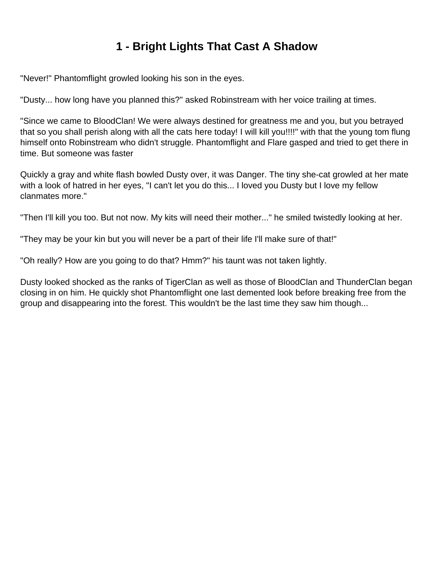# **1 - Bright Lights That Cast A Shadow**

<span id="page-1-0"></span>"Never!" Phantomflight growled looking his son in the eyes.

"Dusty... how long have you planned this?" asked Robinstream with her voice trailing at times.

"Since we came to BloodClan! We were always destined for greatness me and you, but you betrayed that so you shall perish along with all the cats here today! I will kill you!!!!" with that the young tom flung himself onto Robinstream who didn't struggle. Phantomflight and Flare gasped and tried to get there in time. But someone was faster

Quickly a gray and white flash bowled Dusty over, it was Danger. The tiny she-cat growled at her mate with a look of hatred in her eyes, "I can't let you do this... I loved you Dusty but I love my fellow clanmates more."

"Then I'll kill you too. But not now. My kits will need their mother..." he smiled twistedly looking at her.

"They may be your kin but you will never be a part of their life I'll make sure of that!"

"Oh really? How are you going to do that? Hmm?" his taunt was not taken lightly.

Dusty looked shocked as the ranks of TigerClan as well as those of BloodClan and ThunderClan began closing in on him. He quickly shot Phantomflight one last demented look before breaking free from the group and disappearing into the forest. This wouldn't be the last time they saw him though...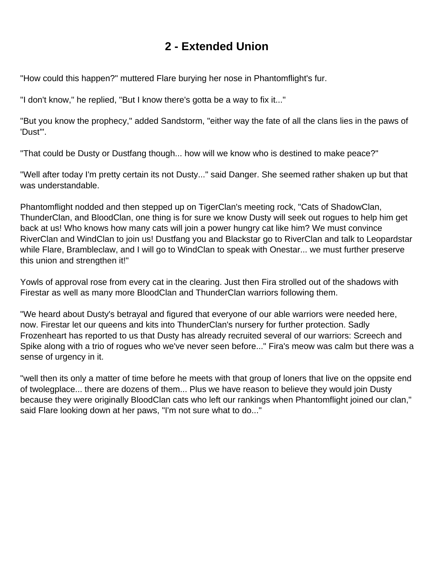# **2 - Extended Union**

<span id="page-2-0"></span>"How could this happen?" muttered Flare burying her nose in Phantomflight's fur.

"I don't know," he replied, "But I know there's gotta be a way to fix it..."

"But you know the prophecy," added Sandstorm, "either way the fate of all the clans lies in the paws of 'Dust'".

"That could be Dusty or Dustfang though... how will we know who is destined to make peace?"

"Well after today I'm pretty certain its not Dusty..." said Danger. She seemed rather shaken up but that was understandable.

Phantomflight nodded and then stepped up on TigerClan's meeting rock, "Cats of ShadowClan, ThunderClan, and BloodClan, one thing is for sure we know Dusty will seek out rogues to help him get back at us! Who knows how many cats will join a power hungry cat like him? We must convince RiverClan and WindClan to join us! Dustfang you and Blackstar go to RiverClan and talk to Leopardstar while Flare, Brambleclaw, and I will go to WindClan to speak with Onestar... we must further preserve this union and strengthen it!"

Yowls of approval rose from every cat in the clearing. Just then Fira strolled out of the shadows with Firestar as well as many more BloodClan and ThunderClan warriors following them.

"We heard about Dusty's betrayal and figured that everyone of our able warriors were needed here, now. Firestar let our queens and kits into ThunderClan's nursery for further protection. Sadly Frozenheart has reported to us that Dusty has already recruited several of our warriors: Screech and Spike along with a trio of rogues who we've never seen before..." Fira's meow was calm but there was a sense of urgency in it.

"well then its only a matter of time before he meets with that group of loners that live on the oppsite end of twolegplace... there are dozens of them... Plus we have reason to believe they would join Dusty because they were originally BloodClan cats who left our rankings when Phantomflight joined our clan," said Flare looking down at her paws, "I'm not sure what to do..."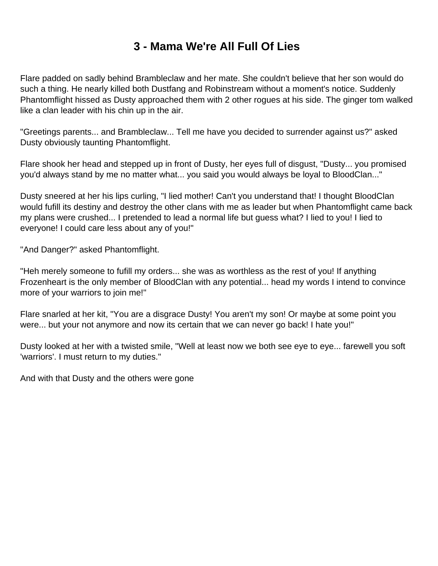# **3 - Mama We're All Full Of Lies**

<span id="page-3-0"></span>Flare padded on sadly behind Brambleclaw and her mate. She couldn't believe that her son would do such a thing. He nearly killed both Dustfang and Robinstream without a moment's notice. Suddenly Phantomflight hissed as Dusty approached them with 2 other rogues at his side. The ginger tom walked like a clan leader with his chin up in the air.

"Greetings parents... and Brambleclaw... Tell me have you decided to surrender against us?" asked Dusty obviously taunting Phantomflight.

Flare shook her head and stepped up in front of Dusty, her eyes full of disgust, "Dusty... you promised you'd always stand by me no matter what... you said you would always be loyal to BloodClan..."

Dusty sneered at her his lips curling, "I lied mother! Can't you understand that! I thought BloodClan would fufill its destiny and destroy the other clans with me as leader but when Phantomflight came back my plans were crushed... I pretended to lead a normal life but guess what? I lied to you! I lied to everyone! I could care less about any of you!"

"And Danger?" asked Phantomflight.

"Heh merely someone to fufill my orders... she was as worthless as the rest of you! If anything Frozenheart is the only member of BloodClan with any potential... head my words I intend to convince more of your warriors to join me!"

Flare snarled at her kit, "You are a disgrace Dusty! You aren't my son! Or maybe at some point you were... but your not anymore and now its certain that we can never go back! I hate you!"

Dusty looked at her with a twisted smile, "Well at least now we both see eye to eye... farewell you soft 'warriors'. I must return to my duties."

And with that Dusty and the others were gone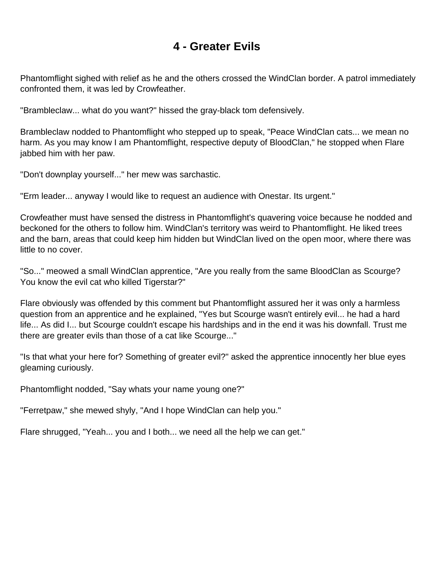#### **4 - Greater Evils**

<span id="page-4-0"></span>Phantomflight sighed with relief as he and the others crossed the WindClan border. A patrol immediately confronted them, it was led by Crowfeather.

"Brambleclaw... what do you want?" hissed the gray-black tom defensively.

Brambleclaw nodded to Phantomflight who stepped up to speak, "Peace WindClan cats... we mean no harm. As you may know I am Phantomflight, respective deputy of BloodClan," he stopped when Flare jabbed him with her paw.

"Don't downplay yourself..." her mew was sarchastic.

"Erm leader... anyway I would like to request an audience with Onestar. Its urgent."

Crowfeather must have sensed the distress in Phantomflight's quavering voice because he nodded and beckoned for the others to follow him. WindClan's territory was weird to Phantomflight. He liked trees and the barn, areas that could keep him hidden but WindClan lived on the open moor, where there was little to no cover.

"So..." meowed a small WindClan apprentice, "Are you really from the same BloodClan as Scourge? You know the evil cat who killed Tigerstar?"

Flare obviously was offended by this comment but Phantomflight assured her it was only a harmless question from an apprentice and he explained, "Yes but Scourge wasn't entirely evil... he had a hard life... As did I... but Scourge couldn't escape his hardships and in the end it was his downfall. Trust me there are greater evils than those of a cat like Scourge..."

"Is that what your here for? Something of greater evil?" asked the apprentice innocently her blue eyes gleaming curiously.

Phantomflight nodded, "Say whats your name young one?"

"Ferretpaw," she mewed shyly, "And I hope WindClan can help you."

Flare shrugged, "Yeah... you and I both... we need all the help we can get."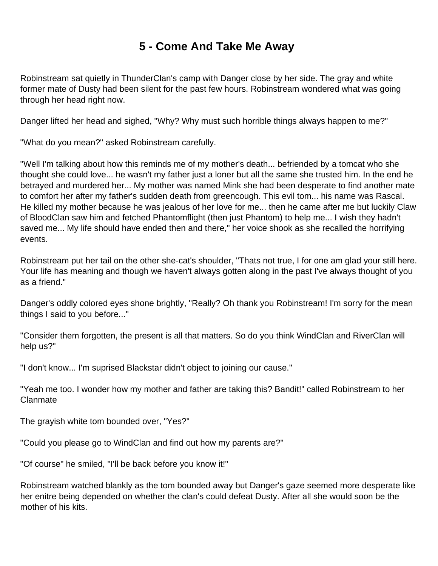# **5 - Come And Take Me Away**

<span id="page-5-0"></span>Robinstream sat quietly in ThunderClan's camp with Danger close by her side. The gray and white former mate of Dusty had been silent for the past few hours. Robinstream wondered what was going through her head right now.

Danger lifted her head and sighed, "Why? Why must such horrible things always happen to me?"

"What do you mean?" asked Robinstream carefully.

"Well I'm talking about how this reminds me of my mother's death... befriended by a tomcat who she thought she could love... he wasn't my father just a loner but all the same she trusted him. In the end he betrayed and murdered her... My mother was named Mink she had been desperate to find another mate to comfort her after my father's sudden death from greencough. This evil tom... his name was Rascal. He killed my mother because he was jealous of her love for me... then he came after me but luckily Claw of BloodClan saw him and fetched Phantomflight (then just Phantom) to help me... I wish they hadn't saved me... My life should have ended then and there," her voice shook as she recalled the horrifying events.

Robinstream put her tail on the other she-cat's shoulder, "Thats not true, I for one am glad your still here. Your life has meaning and though we haven't always gotten along in the past I've always thought of you as a friend."

Danger's oddly colored eyes shone brightly, "Really? Oh thank you Robinstream! I'm sorry for the mean things I said to you before..."

"Consider them forgotten, the present is all that matters. So do you think WindClan and RiverClan will help us?"

"I don't know... I'm suprised Blackstar didn't object to joining our cause."

"Yeah me too. I wonder how my mother and father are taking this? Bandit!" called Robinstream to her Clanmate

The grayish white tom bounded over, "Yes?"

"Could you please go to WindClan and find out how my parents are?"

"Of course" he smiled, "I'll be back before you know it!"

Robinstream watched blankly as the tom bounded away but Danger's gaze seemed more desperate like her enitre being depended on whether the clan's could defeat Dusty. After all she would soon be the mother of his kits.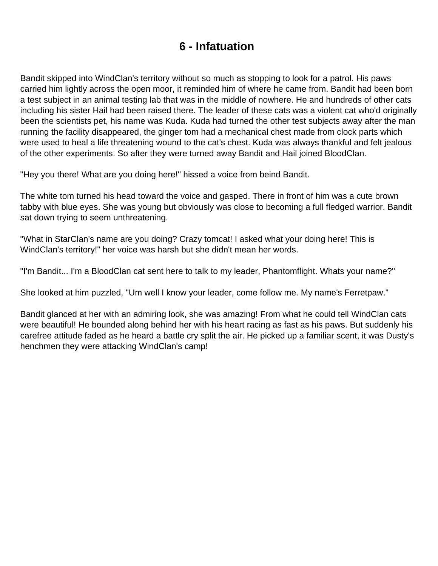# **6 - Infatuation**

<span id="page-6-0"></span>Bandit skipped into WindClan's territory without so much as stopping to look for a patrol. His paws carried him lightly across the open moor, it reminded him of where he came from. Bandit had been born a test subject in an animal testing lab that was in the middle of nowhere. He and hundreds of other cats including his sister Hail had been raised there. The leader of these cats was a violent cat who'd originally been the scientists pet, his name was Kuda. Kuda had turned the other test subjects away after the man running the facility disappeared, the ginger tom had a mechanical chest made from clock parts which were used to heal a life threatening wound to the cat's chest. Kuda was always thankful and felt jealous of the other experiments. So after they were turned away Bandit and Hail joined BloodClan.

"Hey you there! What are you doing here!" hissed a voice from beind Bandit.

The white tom turned his head toward the voice and gasped. There in front of him was a cute brown tabby with blue eyes. She was young but obviously was close to becoming a full fledged warrior. Bandit sat down trying to seem unthreatening.

"What in StarClan's name are you doing? Crazy tomcat! I asked what your doing here! This is WindClan's territory!" her voice was harsh but she didn't mean her words.

"I'm Bandit... I'm a BloodClan cat sent here to talk to my leader, Phantomflight. Whats your name?"

She looked at him puzzled, "Um well I know your leader, come follow me. My name's Ferretpaw."

Bandit glanced at her with an admiring look, she was amazing! From what he could tell WindClan cats were beautiful! He bounded along behind her with his heart racing as fast as his paws. But suddenly his carefree attitude faded as he heard a battle cry split the air. He picked up a familiar scent, it was Dusty's henchmen they were attacking WindClan's camp!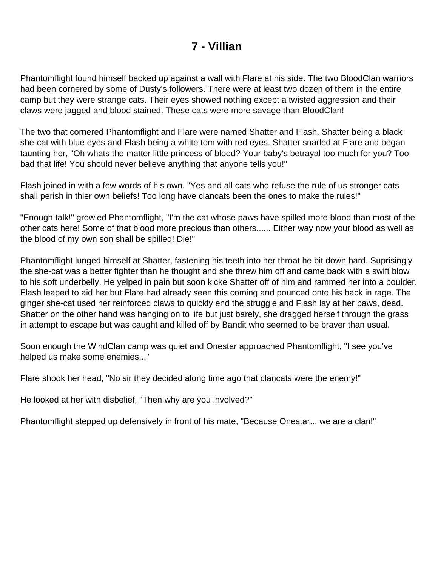#### **7 - Villian**

<span id="page-7-0"></span>Phantomflight found himself backed up against a wall with Flare at his side. The two BloodClan warriors had been cornered by some of Dusty's followers. There were at least two dozen of them in the entire camp but they were strange cats. Their eyes showed nothing except a twisted aggression and their claws were jagged and blood stained. These cats were more savage than BloodClan!

The two that cornered Phantomflight and Flare were named Shatter and Flash, Shatter being a black she-cat with blue eyes and Flash being a white tom with red eyes. Shatter snarled at Flare and began taunting her, "Oh whats the matter little princess of blood? Your baby's betrayal too much for you? Too bad that life! You should never believe anything that anyone tells you!"

Flash joined in with a few words of his own, "Yes and all cats who refuse the rule of us stronger cats shall perish in thier own beliefs! Too long have clancats been the ones to make the rules!"

"Enough talk!" growled Phantomflight, "I'm the cat whose paws have spilled more blood than most of the other cats here! Some of that blood more precious than others...... Either way now your blood as well as the blood of my own son shall be spilled! Die!"

Phantomflight lunged himself at Shatter, fastening his teeth into her throat he bit down hard. Suprisingly the she-cat was a better fighter than he thought and she threw him off and came back with a swift blow to his soft underbelly. He yelped in pain but soon kicke Shatter off of him and rammed her into a boulder. Flash leaped to aid her but Flare had already seen this coming and pounced onto his back in rage. The ginger she-cat used her reinforced claws to quickly end the struggle and Flash lay at her paws, dead. Shatter on the other hand was hanging on to life but just barely, she dragged herself through the grass in attempt to escape but was caught and killed off by Bandit who seemed to be braver than usual.

Soon enough the WindClan camp was quiet and Onestar approached Phantomflight, "I see you've helped us make some enemies..."

Flare shook her head, "No sir they decided along time ago that clancats were the enemy!"

He looked at her with disbelief, "Then why are you involved?"

Phantomflight stepped up defensively in front of his mate, "Because Onestar... we are a clan!"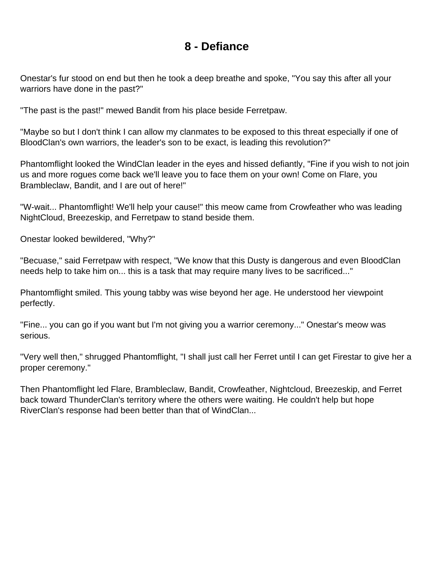#### **8 - Defiance**

<span id="page-8-0"></span>Onestar's fur stood on end but then he took a deep breathe and spoke, "You say this after all your warriors have done in the past?"

"The past is the past!" mewed Bandit from his place beside Ferretpaw.

"Maybe so but I don't think I can allow my clanmates to be exposed to this threat especially if one of BloodClan's own warriors, the leader's son to be exact, is leading this revolution?"

Phantomflight looked the WindClan leader in the eyes and hissed defiantly, "Fine if you wish to not join us and more rogues come back we'll leave you to face them on your own! Come on Flare, you Brambleclaw, Bandit, and I are out of here!"

"W-wait... Phantomflight! We'll help your cause!" this meow came from Crowfeather who was leading NightCloud, Breezeskip, and Ferretpaw to stand beside them.

Onestar looked bewildered, "Why?"

"Becuase," said Ferretpaw with respect, "We know that this Dusty is dangerous and even BloodClan needs help to take him on... this is a task that may require many lives to be sacrificed..."

Phantomflight smiled. This young tabby was wise beyond her age. He understood her viewpoint perfectly.

"Fine... you can go if you want but I'm not giving you a warrior ceremony..." Onestar's meow was serious.

"Very well then," shrugged Phantomflight, "I shall just call her Ferret until I can get Firestar to give her a proper ceremony."

Then Phantomflight led Flare, Brambleclaw, Bandit, Crowfeather, Nightcloud, Breezeskip, and Ferret back toward ThunderClan's territory where the others were waiting. He couldn't help but hope RiverClan's response had been better than that of WindClan...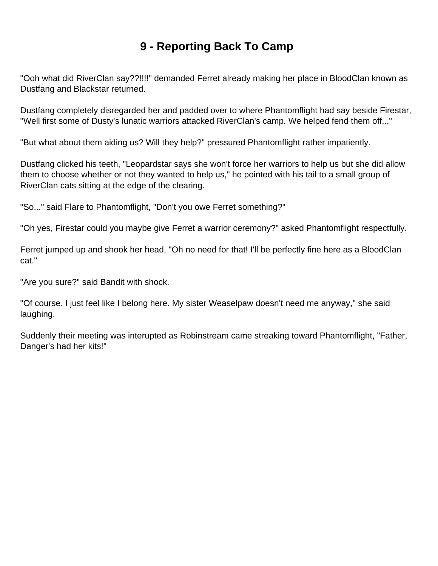# **9 - Reporting Back To Camp**

<span id="page-9-0"></span>"Ooh what did RiverClan say??!!!!" demanded Ferret already making her place in BloodClan known as Dustfang and Blackstar returned.

Dustfang completely disregarded her and padded over to where Phantomflight had say beside Firestar, "Well first some of Dusty's lunatic warriors attacked RiverClan's camp. We helped fend them off..."

"But what about them aiding us? Will they help?" pressured Phantomflight rather impatiently.

Dustfang clicked his teeth, "Leopardstar says she won't force her warriors to help us but she did allow them to choose whether or not they wanted to help us," he pointed with his tail to a small group of RiverClan cats sitting at the edge of the clearing.

"So..." said Flare to Phantomflight, "Don't you owe Ferret something?"

"Oh yes, Firestar could you maybe give Ferret a warrior ceremony?" asked Phantomflight respectfully.

Ferret jumped up and shook her head, "Oh no need for that! I'll be perfectly fine here as a BloodClan cat."

"Are you sure?" said Bandit with shock.

"Of course. I just feel like I belong here. My sister Weaselpaw doesn't need me anyway," she said laughing.

Suddenly their meeting was interupted as Robinstream came streaking toward Phantomflight, "Father, Danger's had her kits!"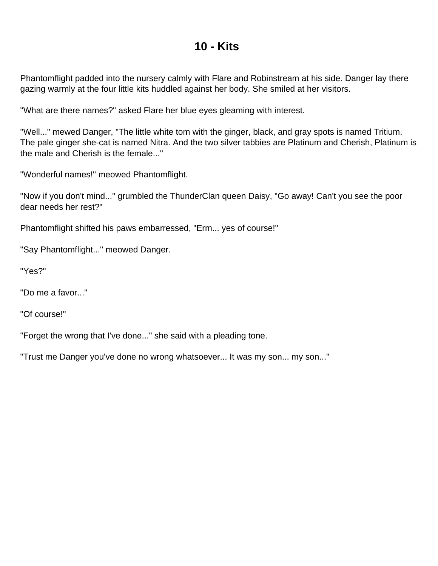#### **10 - Kits**

<span id="page-10-0"></span>Phantomflight padded into the nursery calmly with Flare and Robinstream at his side. Danger lay there gazing warmly at the four little kits huddled against her body. She smiled at her visitors.

"What are there names?" asked Flare her blue eyes gleaming with interest.

"Well..." mewed Danger, "The little white tom with the ginger, black, and gray spots is named Tritium. The pale ginger she-cat is named Nitra. And the two silver tabbies are Platinum and Cherish, Platinum is the male and Cherish is the female..."

"Wonderful names!" meowed Phantomflight.

"Now if you don't mind..." grumbled the ThunderClan queen Daisy, "Go away! Can't you see the poor dear needs her rest?"

Phantomflight shifted his paws embarressed, "Erm... yes of course!"

"Say Phantomflight..." meowed Danger.

"Yes?"

"Do me a favor..."

"Of course!"

"Forget the wrong that I've done..." she said with a pleading tone.

"Trust me Danger you've done no wrong whatsoever... It was my son... my son..."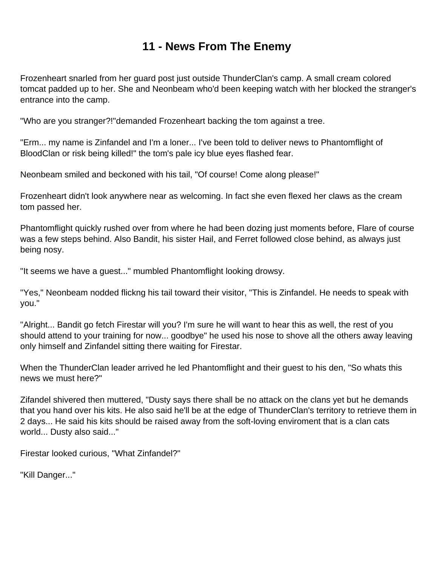## **11 - News From The Enemy**

<span id="page-11-0"></span>Frozenheart snarled from her guard post just outside ThunderClan's camp. A small cream colored tomcat padded up to her. She and Neonbeam who'd been keeping watch with her blocked the stranger's entrance into the camp.

"Who are you stranger?!"demanded Frozenheart backing the tom against a tree.

"Erm... my name is Zinfandel and I'm a loner... I've been told to deliver news to Phantomflight of BloodClan or risk being killed!" the tom's pale icy blue eyes flashed fear.

Neonbeam smiled and beckoned with his tail, "Of course! Come along please!"

Frozenheart didn't look anywhere near as welcoming. In fact she even flexed her claws as the cream tom passed her.

Phantomflight quickly rushed over from where he had been dozing just moments before, Flare of course was a few steps behind. Also Bandit, his sister Hail, and Ferret followed close behind, as always just being nosy.

"It seems we have a guest..." mumbled Phantomflight looking drowsy.

"Yes," Neonbeam nodded flickng his tail toward their visitor, "This is Zinfandel. He needs to speak with you."

"Alright... Bandit go fetch Firestar will you? I'm sure he will want to hear this as well, the rest of you should attend to your training for now... goodbye" he used his nose to shove all the others away leaving only himself and Zinfandel sitting there waiting for Firestar.

When the ThunderClan leader arrived he led Phantomflight and their guest to his den, "So whats this news we must here?"

Zifandel shivered then muttered, "Dusty says there shall be no attack on the clans yet but he demands that you hand over his kits. He also said he'll be at the edge of ThunderClan's territory to retrieve them in 2 days... He said his kits should be raised away from the soft-loving enviroment that is a clan cats world... Dusty also said..."

Firestar looked curious, "What Zinfandel?"

"Kill Danger..."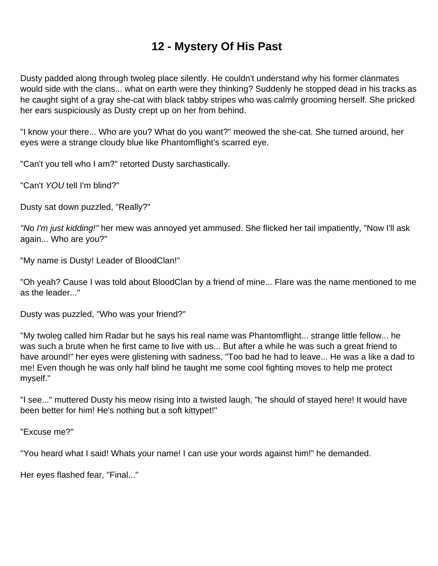# **12 - Mystery Of His Past**

<span id="page-12-0"></span>Dusty padded along through twoleg place silently. He couldn't understand why his former clanmates would side with the clans... what on earth were they thinking? Suddenly he stopped dead in his tracks as he caught sight of a gray she-cat with black tabby stripes who was calmly grooming herself. She pricked her ears suspiciously as Dusty crept up on her from behind.

"I know your there... Who are you? What do you want?" meowed the she-cat. She turned around, her eyes were a strange cloudy blue like Phantomflight's scarred eye.

"Can't you tell who I am?" retorted Dusty sarchastically.

"Can't YOU tell I'm blind?"

Dusty sat down puzzled, "Really?"

"No I'm just kidding!" her mew was annoyed yet ammused. She flicked her tail impatiently, "Now I'll ask again... Who are you?"

"My name is Dusty! Leader of BloodClan!"

"Oh yeah? Cause I was told about BloodClan by a friend of mine... Flare was the name mentioned to me as the leader..."

Dusty was puzzled, "Who was your friend?"

"My twoleg called him Radar but he says his real name was Phantomflight... strange little fellow... he was such a brute when he first came to live with us... But after a while he was such a great friend to have around!" her eyes were glistening with sadness, "Too bad he had to leave... He was a like a dad to me! Even though he was only half blind he taught me some cool fighting moves to help me protect myself."

"I see..." muttered Dusty his meow rising into a twisted laugh, "he should of stayed here! It would have been better for him! He's nothing but a soft kittypet!"

"Excuse me?"

"You heard what I said! Whats your name! I can use your words against him!" he demanded.

Her eyes flashed fear, "Final..."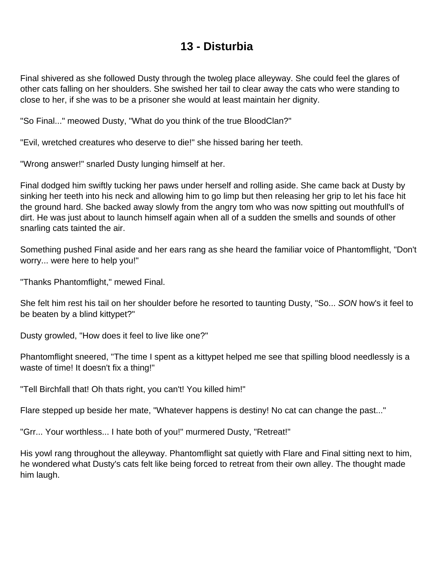#### **13 - Disturbia**

<span id="page-13-0"></span>Final shivered as she followed Dusty through the twoleg place alleyway. She could feel the glares of other cats falling on her shoulders. She swished her tail to clear away the cats who were standing to close to her, if she was to be a prisoner she would at least maintain her dignity.

"So Final..." meowed Dusty, "What do you think of the true BloodClan?"

"Evil, wretched creatures who deserve to die!" she hissed baring her teeth.

"Wrong answer!" snarled Dusty lunging himself at her.

Final dodged him swiftly tucking her paws under herself and rolling aside. She came back at Dusty by sinking her teeth into his neck and allowing him to go limp but then releasing her grip to let his face hit the ground hard. She backed away slowly from the angry tom who was now spitting out mouthfull's of dirt. He was just about to launch himself again when all of a sudden the smells and sounds of other snarling cats tainted the air.

Something pushed Final aside and her ears rang as she heard the familiar voice of Phantomflight, "Don't worry... were here to help you!"

"Thanks Phantomflight," mewed Final.

She felt him rest his tail on her shoulder before he resorted to taunting Dusty, "So... SON how's it feel to be beaten by a blind kittypet?"

Dusty growled, "How does it feel to live like one?"

Phantomflight sneered, "The time I spent as a kittypet helped me see that spilling blood needlessly is a waste of time! It doesn't fix a thing!"

"Tell Birchfall that! Oh thats right, you can't! You killed him!"

Flare stepped up beside her mate, "Whatever happens is destiny! No cat can change the past..."

"Grr... Your worthless... I hate both of you!" murmered Dusty, "Retreat!"

His yowl rang throughout the alleyway. Phantomflight sat quietly with Flare and Final sitting next to him, he wondered what Dusty's cats felt like being forced to retreat from their own alley. The thought made him laugh.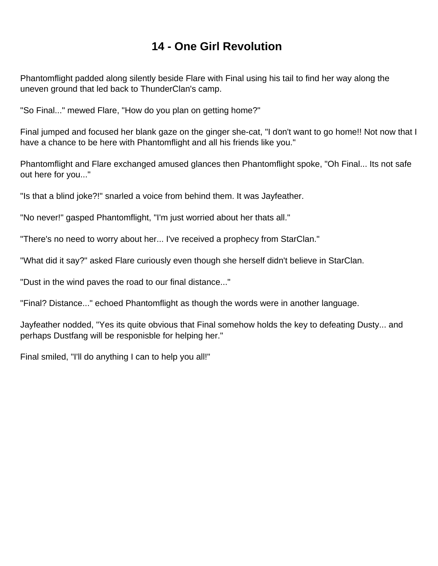#### **14 - One Girl Revolution**

<span id="page-14-0"></span>Phantomflight padded along silently beside Flare with Final using his tail to find her way along the uneven ground that led back to ThunderClan's camp.

"So Final..." mewed Flare, "How do you plan on getting home?"

Final jumped and focused her blank gaze on the ginger she-cat, "I don't want to go home!! Not now that I have a chance to be here with Phantomflight and all his friends like you."

Phantomflight and Flare exchanged amused glances then Phantomflight spoke, "Oh Final... Its not safe out here for you..."

"Is that a blind joke?!" snarled a voice from behind them. It was Jayfeather.

"No never!" gasped Phantomflight, "I'm just worried about her thats all."

"There's no need to worry about her... I've received a prophecy from StarClan."

"What did it say?" asked Flare curiously even though she herself didn't believe in StarClan.

"Dust in the wind paves the road to our final distance..."

"Final? Distance..." echoed Phantomflight as though the words were in another language.

Jayfeather nodded, "Yes its quite obvious that Final somehow holds the key to defeating Dusty... and perhaps Dustfang will be responisble for helping her."

Final smiled, "I'll do anything I can to help you all!"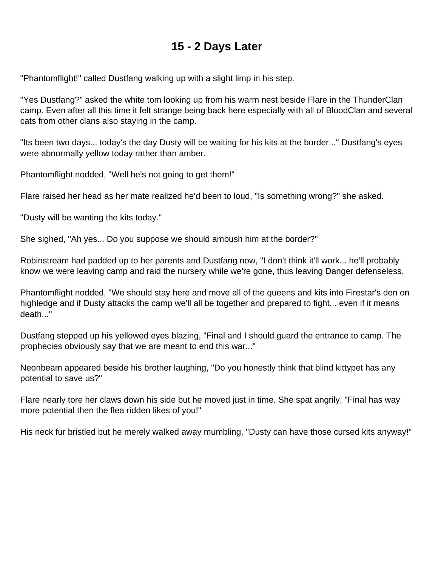#### **15 - 2 Days Later**

<span id="page-15-0"></span>"Phantomflight!" called Dustfang walking up with a slight limp in his step.

"Yes Dustfang?" asked the white tom looking up from his warm nest beside Flare in the ThunderClan camp. Even after all this time it felt strange being back here especially with all of BloodClan and several cats from other clans also staying in the camp.

"Its been two days... today's the day Dusty will be waiting for his kits at the border..." Dustfang's eyes were abnormally yellow today rather than amber.

Phantomflight nodded, "Well he's not going to get them!"

Flare raised her head as her mate realized he'd been to loud, "Is something wrong?" she asked.

"Dusty will be wanting the kits today."

She sighed, "Ah yes... Do you suppose we should ambush him at the border?"

Robinstream had padded up to her parents and Dustfang now, "I don't think it'll work... he'll probably know we were leaving camp and raid the nursery while we're gone, thus leaving Danger defenseless.

Phantomflight nodded, "We should stay here and move all of the queens and kits into Firestar's den on highledge and if Dusty attacks the camp we'll all be together and prepared to fight... even if it means death..."

Dustfang stepped up his yellowed eyes blazing, "Final and I should guard the entrance to camp. The prophecies obviously say that we are meant to end this war..."

Neonbeam appeared beside his brother laughing, "Do you honestly think that blind kittypet has any potential to save us?"

Flare nearly tore her claws down his side but he moved just in time. She spat angrily, "Final has way more potential then the flea ridden likes of you!"

His neck fur bristled but he merely walked away mumbling, "Dusty can have those cursed kits anyway!"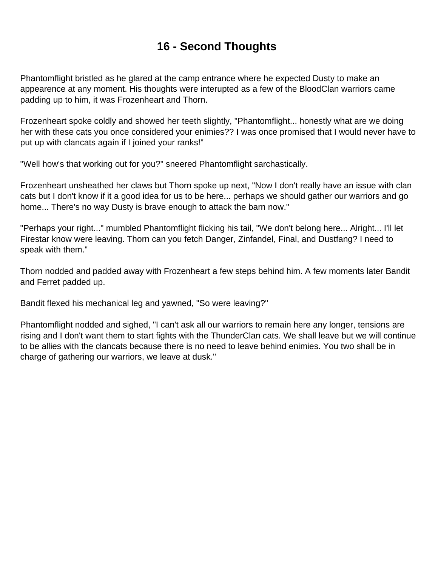# **16 - Second Thoughts**

<span id="page-16-0"></span>Phantomflight bristled as he glared at the camp entrance where he expected Dusty to make an appearence at any moment. His thoughts were interupted as a few of the BloodClan warriors came padding up to him, it was Frozenheart and Thorn.

Frozenheart spoke coldly and showed her teeth slightly, "Phantomflight... honestly what are we doing her with these cats you once considered your enimies?? I was once promised that I would never have to put up with clancats again if I joined your ranks!"

"Well how's that working out for you?" sneered Phantomflight sarchastically.

Frozenheart unsheathed her claws but Thorn spoke up next, "Now I don't really have an issue with clan cats but I don't know if it a good idea for us to be here... perhaps we should gather our warriors and go home... There's no way Dusty is brave enough to attack the barn now."

"Perhaps your right..." mumbled Phantomflight flicking his tail, "We don't belong here... Alright... I'll let Firestar know were leaving. Thorn can you fetch Danger, Zinfandel, Final, and Dustfang? I need to speak with them."

Thorn nodded and padded away with Frozenheart a few steps behind him. A few moments later Bandit and Ferret padded up.

Bandit flexed his mechanical leg and yawned, "So were leaving?"

Phantomflight nodded and sighed, "I can't ask all our warriors to remain here any longer, tensions are rising and I don't want them to start fights with the ThunderClan cats. We shall leave but we will continue to be allies with the clancats because there is no need to leave behind enimies. You two shall be in charge of gathering our warriors, we leave at dusk."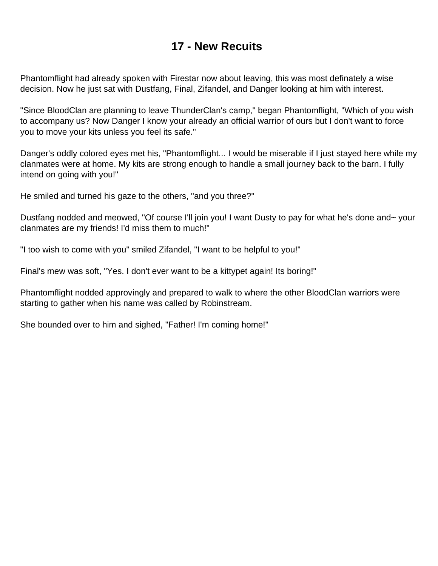#### **17 - New Recuits**

<span id="page-17-0"></span>Phantomflight had already spoken with Firestar now about leaving, this was most definately a wise decision. Now he just sat with Dustfang, Final, Zifandel, and Danger looking at him with interest.

"Since BloodClan are planning to leave ThunderClan's camp," began Phantomflight, "Which of you wish to accompany us? Now Danger I know your already an official warrior of ours but I don't want to force you to move your kits unless you feel its safe."

Danger's oddly colored eyes met his, "Phantomflight... I would be miserable if I just stayed here while my clanmates were at home. My kits are strong enough to handle a small journey back to the barn. I fully intend on going with you!"

He smiled and turned his gaze to the others, "and you three?"

Dustfang nodded and meowed, "Of course I'll join you! I want Dusty to pay for what he's done and~ your clanmates are my friends! I'd miss them to much!"

"I too wish to come with you" smiled Zifandel, "I want to be helpful to you!"

Final's mew was soft, "Yes. I don't ever want to be a kittypet again! Its boring!"

Phantomflight nodded approvingly and prepared to walk to where the other BloodClan warriors were starting to gather when his name was called by Robinstream.

She bounded over to him and sighed, "Father! I'm coming home!"